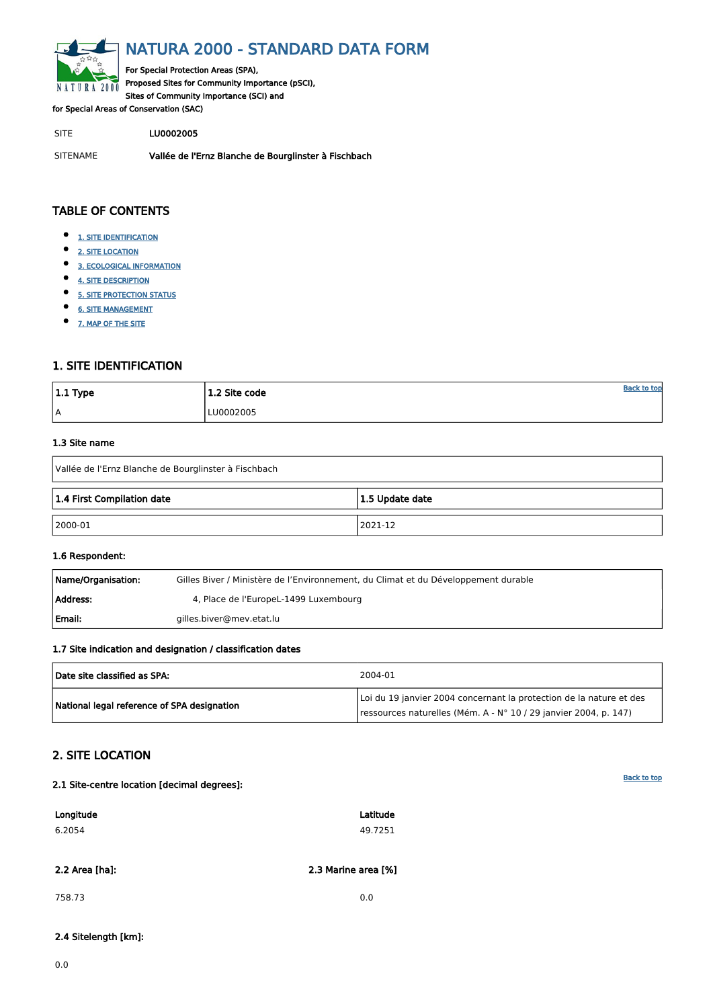<span id="page-0-0"></span>

# NATURA 2000 - STANDARD DATA FORM

For Special Protection Areas (SPA), Proposed Sites for Community Importance (pSCI), Sites of Community Importance (SCI) and

for Special Areas of Conservation (SAC)

SITE LU0002005

- $\bullet$ [1. SITE IDENTIFICATION](#page-0-1)
- $\bullet$ [2. SITE LOCATION](#page-0-2)
- $\bullet$ [3. ECOLOGICAL INFORMATION](#page-1-0)
- $\bullet$ [4. SITE DESCRIPTION](#page-3-0)
- $\bullet$ [5. SITE PROTECTION STATUS](#page-4-0)
- $\bullet$ [6. SITE MANAGEMENT](#page-5-0)
- $\bullet$ [7. MAP OF THE SITE](#page-5-1)

SITENAME Vallée de l'Ernz Blanche de Bourglinster à Fischbach

| $ 1.1$ Type | $1.2$ Site code | <u>Back to top</u> |
|-------------|-----------------|--------------------|
| A           | LU0002005       |                    |

## TABLE OF CONTENTS

| Name/Organisation: | Gilles Biver / Ministère de l'Environnement, du Climat et du Développement durable |
|--------------------|------------------------------------------------------------------------------------|
| Address:           | 4, Place de l'EuropeL-1499 Luxembourg                                              |
| Email:             | gilles.biver@mev.etat.lu                                                           |

## <span id="page-0-1"></span>1. SITE IDENTIFICATION

#### 1.3 Site name

| Vallée de l'Ernz Blanche de Bourglinster à Fischbach |         |  |  |  |  |  |  |
|------------------------------------------------------|---------|--|--|--|--|--|--|
| 1.4 First Compilation date<br>1.5 Update date        |         |  |  |  |  |  |  |
| $ 2000-01 $                                          | 2021-12 |  |  |  |  |  |  |

#### 1.6 Respondent:

#### 1.7 Site indication and designation / classification dates

| Date site classified as SPA:                | 2004-01                                                                                                                                 |
|---------------------------------------------|-----------------------------------------------------------------------------------------------------------------------------------------|
| National legal reference of SPA designation | Loi du 19 janvier 2004 concernant la protection de la nature et des<br>ressources naturelles (Mém. A - N° 10 / 29 janvier 2004, p. 147) |

## <span id="page-0-2"></span>2. SITE LOCATION

#### 2.1 Site-centre location [decimal degrees]:

| Longitude | Latitude |
|-----------|----------|
| 6.2054    | 49.7251  |

2.2 Area [ha]: 2.3 Marine area [%]

758.73 0.0

2.4 Sitelength [km]:

0.0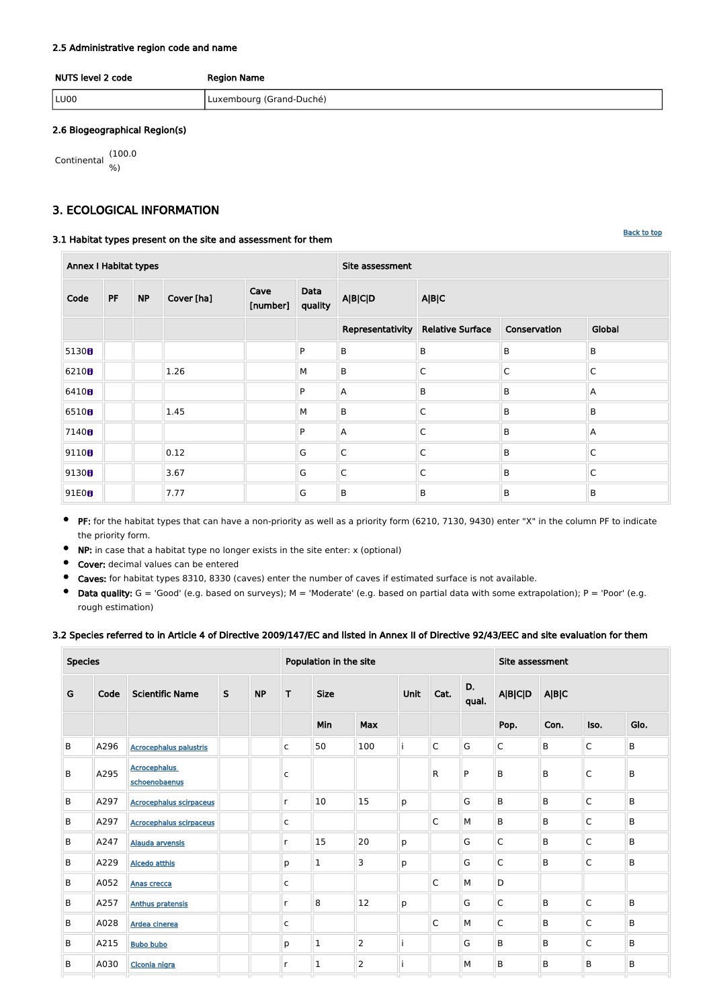#### [Back to top](#page-0-0)

#### 2.5 Administrative region code and name

| NUTS level 2 code | <b>Region Name</b>       |
|-------------------|--------------------------|
| LU <sub>00</sub>  | Luxembourg (Grand-Duché) |

#### 2.6 Biogeographical Region(s)

$$
\begin{array}{cc}\n\text{Continental} & (100.0) \\
\% & \end{array}
$$

## <span id="page-1-0"></span>3. ECOLOGICAL INFORMATION

#### 3.1 Habitat types present on the site and assessment for them

| <b>Annex I Habitat types</b> |           |           |            |                  |                 | Site assessment         |                                   |                |              |  |  |
|------------------------------|-----------|-----------|------------|------------------|-----------------|-------------------------|-----------------------------------|----------------|--------------|--|--|
| Code                         | <b>PF</b> | <b>NP</b> | Cover [ha] | Cave<br>[number] | Data<br>quality | <b>A B C D</b>          | A B C                             |                |              |  |  |
|                              |           |           |            |                  |                 |                         | Representativity Relative Surface | Global         |              |  |  |
| 5130B                        |           |           |            |                  | P               | $\sf B$                 | $\sf B$                           | $\overline{B}$ | B            |  |  |
| 6210B                        |           |           | 1.26       |                  | M               | $\mathsf B$             | $\mathsf{C}$                      | $\mathsf C$    | $\mathsf{C}$ |  |  |
| 6410B                        |           |           |            |                  | P               | A                       | $\sf B$                           | $\mathsf B$    | A            |  |  |
| 6510B                        |           |           | 1.45       |                  | M               | $\sf B$                 | $\mathsf{C}$                      | $\mathsf B$    | B            |  |  |
| 7140 <sub>0</sub>            |           |           |            |                  | P               | A                       | $\mathsf{C}$                      | $\mathsf B$    | A            |  |  |
| 9110 <sub>0</sub>            |           |           | 0.12       |                  | G               | $\mathsf{C}$            | $\mathsf{C}$                      | B              | $\mathsf{C}$ |  |  |
| 9130 <sub>0</sub>            |           |           | 3.67       |                  | G               | $\overline{\mathsf{C}}$ | $\mathsf{C}$                      | $\mathsf B$    | $\mathsf{C}$ |  |  |
| 91E0B                        |           |           | 7.77       |                  | G               | $\sf B$                 | $\sf B$                           | $\mathsf B$    | B            |  |  |

- **•** PF: for the habitat types that can have a non-priority as well as a priority form (6210, 7130, 9430) enter "X" in the column PF to indicate the priority form.
- $\bullet$ NP: in case that a habitat type no longer exists in the site enter: x (optional)
- Cover: decimal values can be entered  $\bullet$
- Caves: for habitat types 8310, 8330 (caves) enter the number of caves if estimated surface is not available.
- $\bullet$  Data quality:  $G = 'Good'$  (e.g. based on surveys);  $M = 'Modern'$  (e.g. based on partial data with some extrapolation);  $P = 'Poor'$  (e.g. rough estimation)

#### 3.2 Species referred to in Article 4 of Directive 2009/147/EC and listed in Annex II of Directive 92/43/EEC and site evaluation for them

| <b>Species</b> |      |                                      |              |           | Population in the site |                |                | Site assessment |              |              |                         |             |                |       |  |  |
|----------------|------|--------------------------------------|--------------|-----------|------------------------|----------------|----------------|-----------------|--------------|--------------|-------------------------|-------------|----------------|-------|--|--|
| G              | Code | <b>Scientific Name</b>               | $\mathsf{S}$ | <b>NP</b> | T                      | <b>Size</b>    |                |                 |              | Unit         | Cat.                    | D.<br>qual. | <b>A B C D</b> | A B C |  |  |
|                |      |                                      |              |           |                        | Min            | Max            |                 |              |              | Pop.                    | Con.        | Iso.           | Glo.  |  |  |
| B              | A296 | <b>Acrocephalus palustris</b>        |              |           | $\mathsf{C}$           | 50             | 100            |                 | $\mathsf C$  | G            | $\overline{\mathsf{C}}$ | B           | $\mathsf C$    | B     |  |  |
| B              | A295 | <b>Acrocephalus</b><br>schoenobaenus |              |           | $\mathsf{C}$           |                |                |                 | ${\sf R}$    | $\mathsf{P}$ | B                       | B           | $\mathsf C$    | B     |  |  |
| B              | A297 | <b>Acrocephalus scirpaceus</b>       |              |           | r                      | 10             | 15             | p               |              | G            | B                       | B           | C              | B     |  |  |
| B              | A297 | <b>Acrocephalus scirpaceus</b>       |              |           | $\mathsf{C}$           |                |                |                 | $\mathsf{C}$ | M            | B                       | B           | $\mathsf C$    | B     |  |  |
| B              | A247 | Alauda arvensis                      |              |           | $\mathsf{r}$           | 15             | 20             | p               |              | G            | $\overline{\mathsf{C}}$ | B           | C              | B     |  |  |
| B              | A229 | <b>Alcedo atthis</b>                 |              |           | p                      | $\mathbf{1}$   | 3              | p               |              | G            | $\mathsf C$             | B           | $\mathsf C$    | B     |  |  |
| B              | A052 | <b>Anas crecca</b>                   |              |           | $\mathsf C$            |                |                |                 | $\mathsf{C}$ | M            | D                       |             |                |       |  |  |
| B              | A257 | <b>Anthus pratensis</b>              |              |           | $\mathsf{r}$           | $\overline{8}$ | 12             | p               |              | G            | $\overline{\mathsf{C}}$ | B           | $\mathsf C$    | B     |  |  |
| B              | A028 | Ardea cinerea                        |              |           | $\mathsf{C}$           |                |                |                 | $\mathsf{C}$ | M            | $\mathsf C$             | B           | C              | B     |  |  |
| B              | A215 | <b>Bubo bubo</b>                     |              |           | p                      | $\mathbf{1}$   | $\overline{2}$ |                 |              | G            | B                       | B           | C              | B     |  |  |
| B              | A030 | Ciconia nigra                        |              |           | $\mathsf{r}$           | $\mathbf 1$    | $\overline{2}$ |                 |              | M            | B                       | B           | B              | B     |  |  |
|                |      |                                      |              |           |                        |                |                |                 |              |              |                         |             |                |       |  |  |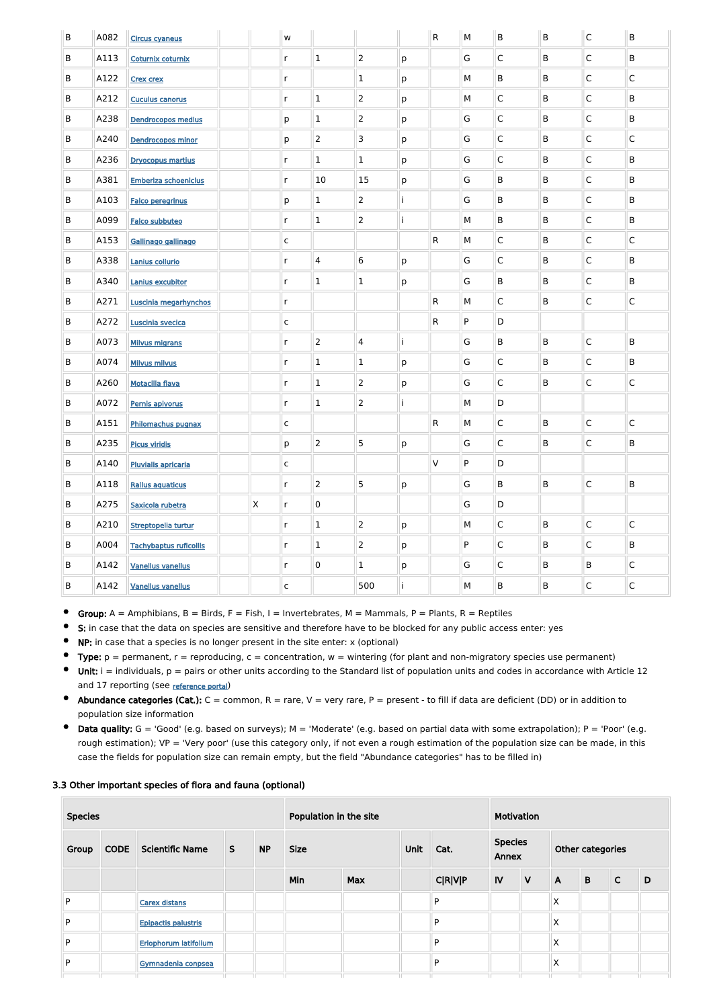| $\sf B$ | A082 | <b>Circus cyaneus</b>         |              | W            |                |                |    | $\mathsf{R}$ | M | B            | B            | $\mathsf{C}$            | B            |
|---------|------|-------------------------------|--------------|--------------|----------------|----------------|----|--------------|---|--------------|--------------|-------------------------|--------------|
| B       | A113 | <b>Coturnix coturnix</b>      |              | $\mathsf{r}$ | $\mathbf{1}$   | $\overline{2}$ | p  |              | G | $\mathsf{C}$ | B            | $\overline{C}$          | B            |
| B       | A122 | <b>Crex crex</b>              |              | $\mathsf{r}$ |                | 1              | p  |              | М | B            | B            | $\overline{C}$          | C            |
| B       | A212 | <b>Cuculus canorus</b>        |              | $\mathsf{r}$ | $\mathbf 1$    | $\overline{2}$ | p  |              | М | $\mathsf{C}$ | B            | $\overline{C}$          | B            |
| B       | A238 | <b>Dendrocopos medius</b>     |              | p            | $\mathbf 1$    | $\overline{2}$ | p  |              | G | $\mathsf{C}$ | B            | $\overline{C}$          | B            |
| B       | A240 | <b>Dendrocopos minor</b>      |              | p            | $\overline{2}$ | 3              | p  |              | G | $\mathsf{C}$ | B            | $\mathsf{C}$            | $\mathsf C$  |
| B       | A236 | <b>Dryocopus martius</b>      |              | $\mathsf{r}$ | $\mathbf 1$    | $\mathbf 1$    | p  |              | G | $\mathsf{C}$ | B            | $\mathsf{C}$            | B            |
| B       | A381 | <b>Emberiza schoeniclus</b>   |              | $\mathsf{r}$ | 10             | 15             | p  |              | G | B            | B            | $\overline{C}$          | B            |
| B       | A103 | <b>Falco peregrinus</b>       |              | p            | $\mathbf 1$    | $\overline{2}$ | i  |              | G | B            | B            | $\mathsf{C}$            | B            |
| B       | A099 | <b>Falco subbuteo</b>         |              | $\mathsf{r}$ | $\mathbf{1}$   | $\overline{2}$ | İ  |              | М | B            | B            | $\mathsf{C}$            | B            |
| B       | A153 | Gallinago gallinago           |              | $\mathsf{C}$ |                |                |    | R            | М | $\mathsf C$  | B            | $\mathsf{C}$            | $\mathsf C$  |
| B       | A338 | Lanius collurio               |              | $\mathsf{r}$ | 4              | 6              | p  |              | G | $\mathsf C$  | B            | $\mathsf{C}$            | B            |
| B       | A340 | Lanius excubitor              |              | $\mathsf{r}$ | $\mathbf 1$    | $\mathbf 1$    | p  |              | G | B            | B            | $\overline{C}$          | B            |
| B       | A271 | Luscinia megarhynchos         |              | $\mathsf{r}$ |                |                |    | R            | М | $\mathsf{C}$ | B            | $\overline{C}$          | C            |
| B       | A272 | Luscinia svecica              |              | $\mathsf{C}$ |                |                |    | R            | P | D            |              |                         |              |
| B       | A073 | <b>Milvus migrans</b>         |              | $\mathsf{r}$ | $\overline{2}$ | 4              | İ  |              | G | B            | B            | $\mathsf{C}$            | B            |
| B       | A074 | <b>Milvus milvus</b>          |              | $\mathsf{r}$ | $\mathbf{1}$   | $\mathbf 1$    | p  |              | G | $\mathsf{C}$ | B            | $\overline{C}$          | B            |
| B       | A260 | <b>Motacilla flava</b>        |              | $\mathsf{r}$ | $\mathbf 1$    | $\overline{2}$ | p  |              | G | $\mathsf{C}$ | B            | $\overline{C}$          | С            |
| B       | A072 | Pernis apivorus               |              | $\mathsf{r}$ | $\mathbf{1}$   | $\overline{2}$ | İ  |              | М | D            |              |                         |              |
| $\sf B$ | A151 | Philomachus pugnax            |              | $\mathsf{C}$ |                |                |    | $\mathsf{R}$ | M | $\mathsf{C}$ | $\mathsf B$  | $\overline{\mathsf{C}}$ | $\mathsf{C}$ |
| B       | A235 | <b>Picus viridis</b>          |              | p            | $\overline{2}$ | 5              | p  |              | G | $\mathsf{C}$ | $\mathsf B$  | $\overline{C}$          | B            |
| $\sf B$ | A140 | <b>Pluvialis apricaria</b>    |              | $\mathsf{C}$ |                |                |    | $\vee$       | P | D            |              |                         |              |
| B       | A118 | <b>Rallus aquaticus</b>       |              | $\mathsf{r}$ | $\overline{2}$ | 5              | p  |              | G | B            | $\mathsf{B}$ | $\overline{\mathsf{C}}$ | $\mathsf B$  |
| B       | A275 | Saxicola rubetra              | $\mathsf{X}$ | $\mathsf{r}$ | $\pmb{0}$      |                |    |              | G | D            |              |                         |              |
| B       | A210 | Streptopelia turtur           |              | $\mathsf{r}$ | $\mathbf{1}$   | $\overline{2}$ | p  |              | М | $\mathsf{C}$ | $\mathsf B$  | $\overline{\mathsf{C}}$ | $\mathsf C$  |
| $\sf B$ | A004 | <b>Tachybaptus ruficollis</b> |              | $\mathsf{r}$ | $\mathbf{1}$   | $\overline{2}$ | p  |              | P | $\mathsf{C}$ | $\mathsf B$  | $\overline{C}$          | B            |
| B       | A142 | <b>Vanellus vanellus</b>      |              | $\mathsf{r}$ | $\overline{0}$ | $\mathbf{1}$   | p  |              | G | $\mathsf{C}$ | $\mathsf{B}$ | B                       | $\mathsf C$  |
| B       | A142 | <b>Vanellus vanellus</b>      |              | $\mathsf{C}$ |                | 500            | i. |              | М | $\mathsf B$  | $\mathsf B$  | $\overline{\mathsf{C}}$ | $\mathsf C$  |

 $\bullet$ Group:  $A =$  Amphibians,  $B =$  Birds,  $F =$  Fish, I = Invertebrates, M = Mammals, P = Plants, R = Reptiles

 $\bullet$ S: in case that the data on species are sensitive and therefore have to be blocked for any public access enter: yes

- NP: in case that a species is no longer present in the site enter: x (optional)  $\bullet$
- $\bullet$ Type:  $p =$  permanent,  $r =$  reproducing,  $c =$  concentration,  $w =$  wintering (for plant and non-migratory species use permanent)
- $\bullet$ Unit:  $i =$  individuals,  $p =$  pairs or other units according to the Standard list of population units and codes in accordance with Article 12 and 17 reporting (see [reference portal](http://bd.eionet.europa.eu/activities/Natura_2000/reference_portal))
- $\bullet$ Abundance categories (Cat.):  $C =$  common,  $R =$  rare,  $V =$  very rare,  $P =$  present - to fill if data are deficient (DD) or in addition to population size information
- Data quality:  $G = 'Good'$  (e.g. based on surveys);  $M = 'Modern'$  (e.g. based on partial data with some extrapolation);  $P = 'Poor'$  (e.g.  $\bullet$ rough estimation); VP = 'Very poor' (use this category only, if not even a rough estimation of the population size can be made, in this case the fields for population size can remain empty, but the field "Abundance categories" has to be filled in)

#### 3.3 Other important species of flora and fauna (optional)

| <b>Species</b> |             |                            |   | Population in the site |             |            |      |                | Motivation              |              |              |                  |              |   |  |  |
|----------------|-------------|----------------------------|---|------------------------|-------------|------------|------|----------------|-------------------------|--------------|--------------|------------------|--------------|---|--|--|
| Group          | <b>CODE</b> | <b>Scientific Name</b>     | S | <b>NP</b>              | <b>Size</b> |            | Unit | Cat.           | <b>Species</b><br>Annex |              |              | Other categories |              |   |  |  |
|                |             |                            |   |                        | Min         | <b>Max</b> |      | <b>C R V P</b> | IV                      | $\mathsf{V}$ | $\mathsf{A}$ | B                | $\mathsf{C}$ | D |  |  |
| P              |             | <b>Carex distans</b>       |   |                        |             |            |      | P              |                         |              | Χ            |                  |              |   |  |  |
| P              |             | <b>Epipactis palustris</b> |   |                        |             |            |      | P              |                         |              | Χ            |                  |              |   |  |  |
| P              |             | Eriophorum latifolium      |   |                        |             |            |      | P              |                         |              | X            |                  |              |   |  |  |
| P              |             | Gymnadenia conpsea         |   |                        |             |            |      | P              |                         |              | Χ            |                  |              |   |  |  |
|                |             |                            |   |                        |             |            |      |                |                         |              |              |                  |              |   |  |  |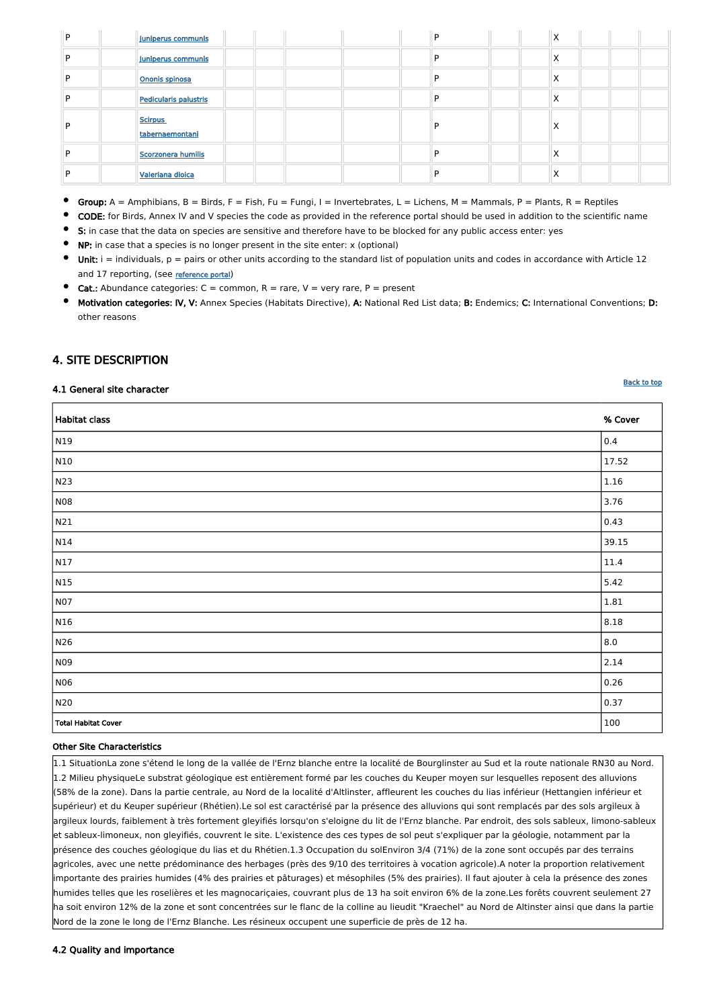| P | Juniperus communis                |   | $\checkmark$<br>∧ |
|---|-----------------------------------|---|-------------------|
| D | Juniperus communis                |   | X                 |
| D | Ononis spinosa                    |   | X                 |
| D | Pedicularis palustris             |   | X                 |
|   | <b>Scirpus</b><br>tabernaemontani | ∍ | X                 |
| D | Scorzonera humilis                |   | $\times$          |
|   | Valeriana dioica                  |   | X                 |

- $\bullet$ Group:  $A =$  Amphibians,  $B =$  Birds,  $F =$  Fish,  $Fu =$  Fungi,  $I =$  Invertebrates,  $L =$  Lichens,  $M =$  Mammals,  $P =$  Plants,  $R =$  Reptiles
- CODE: for Birds, Annex IV and V species the code as provided in the reference portal should be used in addition to the scientific name
- S: in case that the data on species are sensitive and therefore have to be blocked for any public access enter: yes
- NP: in case that a species is no longer present in the site enter: x (optional)
- $\bullet$ Unit:  $i =$  individuals,  $p =$  pairs or other units according to the standard list of population units and codes in accordance with Article 12 and 17 reporting, (see [reference portal](http://bd.eionet.europa.eu/activities/Natura_2000/reference_portal))
- **Cat.:** Abundance categories:  $C =$  common,  $R =$  rare,  $V =$  very rare,  $P =$  present
- Motivation categories: IV, V: Annex Species (Habitats Directive), A: National Red List data; B: Endemics; C: International Conventions; D: other reasons

## <span id="page-3-0"></span>4. SITE DESCRIPTION

#### 4.1 General site character

| Habitat class              | % Cover |
|----------------------------|---------|
| N <sub>19</sub>            | 0.4     |
| N10                        | 17.52   |
| N23                        | 1.16    |
| NO8                        | 3.76    |
| $\vert$ N21                | 0.43    |
| N14                        | 39.15   |
| N17                        | 11.4    |
| $\vert$ N15                | 5.42    |
| NO7                        | 1.81    |
| N16                        | 8.18    |
| N26                        | 8.0     |
| N09                        | 2.14    |
| N06                        | 0.26    |
| N20                        | 0.37    |
| <b>Total Habitat Cover</b> | 100     |

#### Other Site Characteristics

**[Back to top](#page-0-0)** 

1.1 SituationLa zone s'étend le long de la vallée de l'Ernz blanche entre la localité de Bourglinster au Sud et la route nationale RN30 au Nord. 1.2 Milieu physiqueLe substrat géologique est entièrement formé par les couches du Keuper moyen sur lesquelles reposent des alluvions (58% de la zone). Dans la partie centrale, au Nord de la localité d'Altlinster, affleurent les couches du lias inférieur (Hettangien inférieur et supérieur) et du Keuper supérieur (Rhétien).Le sol est caractérisé par la présence des alluvions qui sont remplacés par des sols argileux à argileux lourds, faiblement à très fortement gleyifiés lorsqu'on s'eloigne du lit de l'Ernz blanche. Par endroit, des sols sableux, limono-sableux et sableux-limoneux, non gleyifiés, couvrent le site. L'existence des ces types de sol peut s'expliquer par la géologie, notamment par la présence des couches géologique du lias et du Rhétien.1.3 Occupation du solEnviron 3/4 (71%) de la zone sont occupés par des terrains agricoles, avec une nette prédominance des herbages (près des 9/10 des territoires à vocation agricole).A noter la proportion relativement importante des prairies humides (4% des prairies et pâturages) et mésophiles (5% des prairies). Il faut ajouter à cela la présence des zones humides telles que les roselières et les magnocariçaies, couvrant plus de 13 ha soit environ 6% de la zone.Les forêts couvrent seulement 27 ha soit environ 12% de la zone et sont concentrées sur le flanc de la colline au lieudit "Kraechel" au Nord de Altinster ainsi que dans la partie Nord de la zone le long de l'Ernz Blanche. Les résineux occupent une superficie de près de 12 ha.

#### 4.2 Quality and importance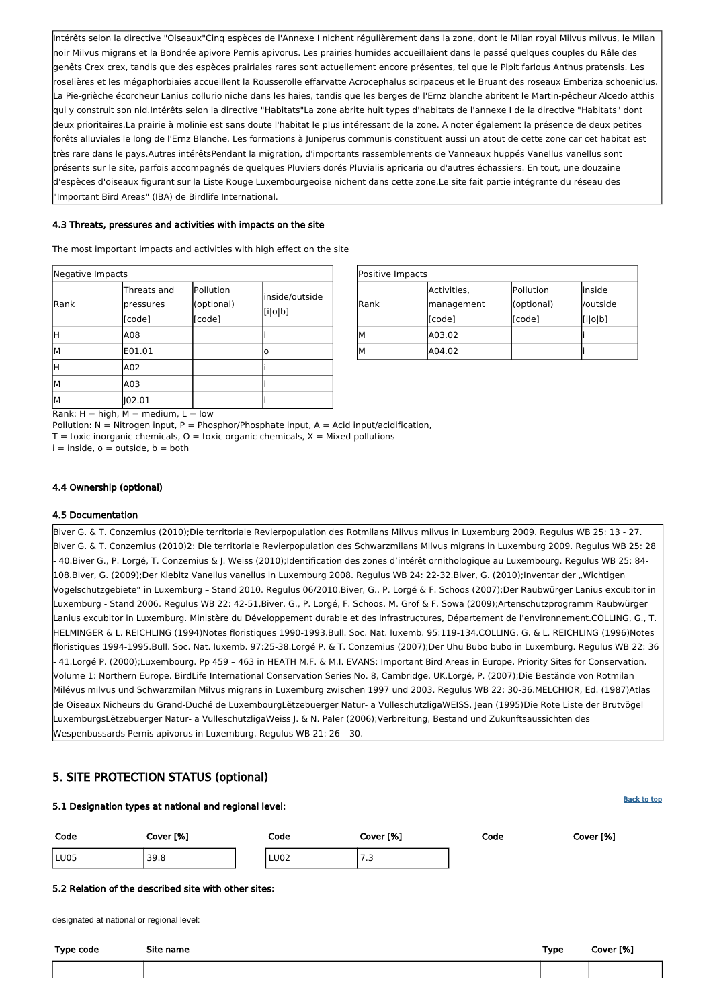

| Positive Impacts |             |            |          |
|------------------|-------------|------------|----------|
|                  | Activities, | Pollution  | linside  |
| <b>IRank</b>     | management  | (optional) | /outside |
|                  | [[code]     | [code]     | [i o b]  |
| М                | A03.02      |            |          |
| М                | A04.02      |            |          |

Rank:  $H = high$ ,  $M = medium$ ,  $L = low$ 

Pollution:  $N =$  Nitrogen input, P = Phosphor/Phosphate input, A = Acid input/acidification,

 $T =$  toxic inorganic chemicals,  $O =$  toxic organic chemicals,  $X =$  Mixed pollutions

 $i =$  inside,  $o =$  outside,  $b =$  both

| Negative Impacts |                                    |                                   |                           |
|------------------|------------------------------------|-----------------------------------|---------------------------|
| Rank             | Threats and<br>pressures<br>[code] | Pollution<br>(optional)<br>[code] | inside/outside<br>[i o b] |
| н                | A08                                |                                   |                           |
| М                | E01.01                             |                                   | o                         |
| Η                | A02                                |                                   |                           |
| М                | A03                                |                                   |                           |
| M                | 02.01                              |                                   |                           |

Intérêts selon la directive "Oiseaux"Cinq espèces de l'Annexe I nichent régulièrement dans la zone, dont le Milan royal Milvus milvus, le Milan noir Milvus migrans et la Bondrée apivore Pernis apivorus. Les prairies humides accueillaient dans le passé quelques couples du Râle des genêts Crex crex, tandis que des espèces prairiales rares sont actuellement encore présentes, tel que le Pipit farlous Anthus pratensis. Les roselières et les mégaphorbiaies accueillent la Rousserolle effarvatte Acrocephalus scirpaceus et le Bruant des roseaux Emberiza schoeniclus. La Pie-grièche écorcheur Lanius collurio niche dans les haies, tandis que les berges de l'Ernz blanche abritent le Martin-pêcheur Alcedo atthis qui y construit son nid.Intérêts selon la directive "Habitats"La zone abrite huit types d'habitats de l'annexe I de la directive "Habitats" dont deux prioritaires.La prairie à molinie est sans doute l'habitat le plus intéressant de la zone. A noter également la présence de deux petites forêts alluviales le long de l'Ernz Blanche. Les formations à Juniperus communis constituent aussi un atout de cette zone car cet habitat est très rare dans le pays.Autres intérêtsPendant la migration, d'importants rassemblements de Vanneaux huppés Vanellus vanellus sont présents sur le site, parfois accompagnés de quelques Pluviers dorés Pluvialis apricaria ou d'autres échassiers. En tout, une douzaine d'espèces d'oiseaux figurant sur la Liste Rouge Luxembourgeoise nichent dans cette zone.Le site fait partie intégrante du réseau des "Important Bird Areas" (IBA) de Birdlife International.

#### 4.3 Threats, pressures and activities with impacts on the site

The most important impacts and activities with high effect on the site

#### 4.4 Ownership (optional)

#### 4.5 Documentation

Biver G. & T. Conzemius (2010);Die territoriale Revierpopulation des Rotmilans Milvus milvus in Luxemburg 2009. Regulus WB 25: 13 - 27. Biver G. & T. Conzemius (2010)2: Die territoriale Revierpopulation des Schwarzmilans Milvus migrans in Luxemburg 2009. Regulus WB 25: 28 - 40.Biver G., P. Lorgé, T. Conzemius & J. Weiss (2010);Identification des zones d'intérêt ornithologique au Luxembourg. Regulus WB 25: 84- 108.Biver, G. (2009);Der Kiebitz Vanellus vanellus in Luxemburg 2008. Regulus WB 24: 22-32.Biver, G. (2010);Inventar der "Wichtigen Vogelschutzgebiete" in Luxemburg – Stand 2010. Regulus 06/2010.Biver, G., P. Lorgé & F. Schoos (2007);Der Raubwürger Lanius excubitor in Luxemburg - Stand 2006. Regulus WB 22: 42-51,Biver, G., P. Lorgé, F. Schoos, M. Grof & F. Sowa (2009);Artenschutzprogramm Raubwürger Lanius excubitor in Luxemburg. Ministère du Développement durable et des Infrastructures, Département de l'environnement.COLLING, G., T. HELMINGER & L. REICHLING (1994)Notes floristiques 1990-1993.Bull. Soc. Nat. luxemb. 95:119-134.COLLING, G. & L. REICHLING (1996)Notes floristiques 1994-1995.Bull. Soc. Nat. luxemb. 97:25-38.Lorgé P. & T. Conzemius (2007);Der Uhu Bubo bubo in Luxemburg. Regulus WB 22: 36 - 41.Lorgé P. (2000);Luxembourg. Pp 459 – 463 in HEATH M.F. & M.I. EVANS: Important Bird Areas in Europe. Priority Sites for Conservation. Volume 1: Northern Europe. BirdLife International Conservation Series No. 8, Cambridge, UK.Lorgé, P. (2007);Die Bestände von Rotmilan Milévus milvus und Schwarzmilan Milvus migrans in Luxemburg zwischen 1997 und 2003. Regulus WB 22: 30-36.MELCHIOR, Ed. (1987)Atlas de Oiseaux Nicheurs du Grand-Duché de LuxembourgLëtzebuerger Natur- a VulleschutzligaWEISS, Jean (1995)Die Rote Liste der Brutvögel LuxemburgsLëtzebuerger Natur- a VulleschutzligaWeiss J. & N. Paler (2006);Verbreitung, Bestand und Zukunftsaussichten des Wespenbussards Pernis apivorus in Luxemburg. Regulus WB 21: 26 – 30.

## <span id="page-4-0"></span>5. SITE PROTECTION STATUS (optional)

5.1 Designation types at national and regional level:

Code Cover [%] Code Cover [%] Code Cover [%] LU05 39.8 LU02 7.3

#### 5.2 Relation of the described site with other sites:

designated at national or regional level:

| Type code | Site name | Type | Cover [%] |
|-----------|-----------|------|-----------|
|           |           |      |           |